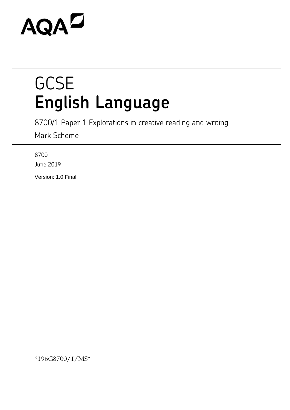# **AQAL**

## **GCSE English Language**

8700/1 Paper 1 Explorations in creative reading and writing

Mark Scheme

8700

June 2019

Version: 1.0 Final

\*196G8700/1/MS\*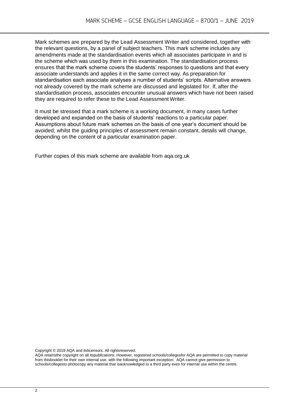Mark schemes are prepared by the Lead Assessment Writer and considered, together with the relevant questions, by a panel of subject teachers. This mark scheme includes any amendments made at the standardisation events which all associates participate in and is the scheme which was used by them in this examination. The standardisation process ensures that the mark scheme covers the students' responses to questions and that every associate understands and applies it in the same correct way. As preparation for standardisation each associate analyses a number of students' scripts. Alternative answers not already covered by the mark scheme are discussed and legislated for. If, after the standardisation process, associates encounter unusual answers which have not been raised they are required to refer these to the Lead Assessment Writer.

It must be stressed that a mark scheme is a working document, in many cases further developed and expanded on the basis of students' reactions to a particular paper. Assumptions about future mark schemes on the basis of one year's document should be avoided; whilst the guiding principles of assessment remain constant, details will change, depending on the content of a particular examination paper.

Further copies of this mark scheme are available from aqa.org.uk

Copyright © 2019 AQA and itslicensors. All rightsreserved.

AQA retainsthe copyright on all itspublications. However, registered schools/collegesfor AQA are permitted to copy material from thisbooklet for their own internal use, with the following important exception: AQA cannot give permission to schools/collegesto photocopy any material that isacknowledged to a third party even for internal use within the centre.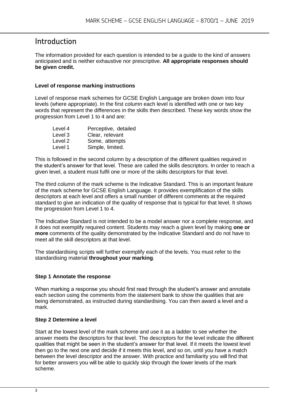#### Introduction

The information provided for each question is intended to be a guide to the kind of answers anticipated and is neither exhaustive nor prescriptive. **All appropriate responses should be given credit.**

#### **Level of response marking instructions**

Level of response mark schemes for GCSE English Language are broken down into four levels (where appropriate). In the first column each level is identified with one or two key words that represent the differences in the skills then described. These key words show the progression from Level 1 to 4 and are:

| Level 4 | Perceptive, detailed |
|---------|----------------------|
| Level 3 | Clear, relevant      |
| Level 2 | Some, attempts       |
| Level 1 | Simple, limited.     |

This is followed in the second column by a description of the different qualities required in the student's answer for that level. These are called the skills descriptors. In order to reach a given level, a student must fulfil one or more of the skills descriptors for that level.

The third column of the mark scheme is the Indicative Standard. This is an important feature of the mark scheme for GCSE English Language. It provides exemplification of the skills descriptors at each level and offers a small number of different comments at the required standard to give an indication of the quality of response that is typical for that level. It shows the progression from Level 1 to 4.

The Indicative Standard is not intended to be a model answer nor a complete response, and it does not exemplify required content. Students may reach a given level by making **one or more** comments of the quality demonstrated by the Indicative Standard and do not have to meet all the skill descriptors at that level.

The standardising scripts will further exemplify each of the levels. You must refer to the standardising material **throughout your marking**.

#### **Step 1 Annotate the response**

When marking a response you should first read through the student's answer and annotate each section using the comments from the statement bank to show the qualities that are being demonstrated, as instructed during standardising. You can then award a level and a mark.

#### **Step 2 Determine a level**

Start at the lowest level of the mark scheme and use it as a ladder to see whether the answer meets the descriptors for that level. The descriptors for the level indicate the different qualities that might be seen in the student's answer for that level. If it meets the lowest level then go to the next one and decide if it meets this level, and so on, until you have a match between the level descriptor and the answer. With practice and familiarity you will find that for better answers you will be able to quickly skip through the lower levels of the mark scheme.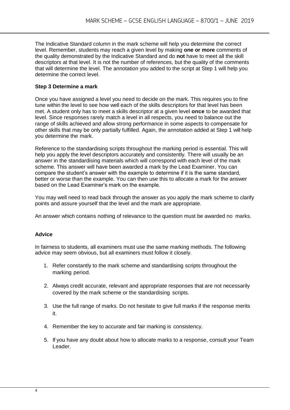The Indicative Standard column in the mark scheme will help you determine the correct level. Remember, students may reach a given level by making **one or more** comments of the quality demonstrated by the Indicative Standard and do **not** have to meet all the skill descriptors at that level. It is not the number of references, but the quality of the comments that will determine the level. The annotation you added to the script at Step 1 will help you determine the correct level.

#### **Step 3 Determine a mark**

Once you have assigned a level you need to decide on the mark. This requires you to fine tune within the level to see how well each of the skills descriptors for that level has been met. A student only has to meet a skills descriptor at a given level **once** to be awarded that level. Since responses rarely match a level in all respects, you need to balance out the range of skills achieved and allow strong performance in some aspects to compensate for other skills that may be only partially fulfilled. Again, the annotation added at Step 1 will help you determine the mark.

Reference to the standardising scripts throughout the marking period is essential. This will help you apply the level descriptors accurately and consistently. There will usually be an answer in the standardising materials which will correspond with each level of the mark scheme. This answer will have been awarded a mark by the Lead Examiner. You can compare the student's answer with the example to determine if it is the same standard, better or worse than the example. You can then use this to allocate a mark for the answer based on the Lead Examiner's mark on the example.

You may well need to read back through the answer as you apply the mark scheme to clarify points and assure yourself that the level and the mark are appropriate.

An answer which contains nothing of relevance to the question must be awarded no marks.

#### **Advice**

In fairness to students, all examiners must use the same marking methods. The following advice may seem obvious, but all examiners must follow it closely.

- 1. Refer constantly to the mark scheme and standardising scripts throughout the marking period.
- 2. Always credit accurate, relevant and appropriate responses that are not necessarily covered by the mark scheme or the standardising scripts.
- 3. Use the full range of marks. Do not hesitate to give full marks if the response merits it.
- 4. Remember the key to accurate and fair marking is consistency.
- 5. If you have any doubt about how to allocate marks to a response, consult your Team Leader.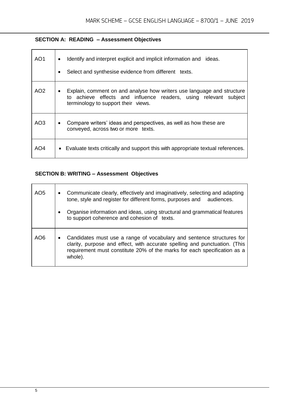#### **SECTION A: READING – Assessment Objectives**

| AO1             | Identify and interpret explicit and implicit information and ideas.<br>$\bullet$<br>Select and synthesise evidence from different texts.                                               |
|-----------------|----------------------------------------------------------------------------------------------------------------------------------------------------------------------------------------|
| AO <sub>2</sub> | Explain, comment on and analyse how writers use language and structure<br>٠<br>to achieve effects and influence readers, using relevant subject<br>terminology to support their views. |
| AO3             | Compare writers' ideas and perspectives, as well as how these are<br>٠<br>conveyed, across two or more texts.                                                                          |
| AO4             | Evaluate texts critically and support this with appropriate textual references.<br>$\bullet$                                                                                           |

#### **SECTION B: WRITING – Assessment Objectives**

| AO <sub>5</sub> | $\bullet$<br>$\bullet$ | Communicate clearly, effectively and imaginatively, selecting and adapting<br>tone, style and register for different forms, purposes and audiences.<br>Organise information and ideas, using structural and grammatical features<br>to support coherence and cohesion of texts. |
|-----------------|------------------------|---------------------------------------------------------------------------------------------------------------------------------------------------------------------------------------------------------------------------------------------------------------------------------|
| AO6             | $\bullet$              | Candidates must use a range of vocabulary and sentence structures for<br>clarity, purpose and effect, with accurate spelling and punctuation. (This<br>requirement must constitute 20% of the marks for each specification as a<br>whole).                                      |

 $\Gamma$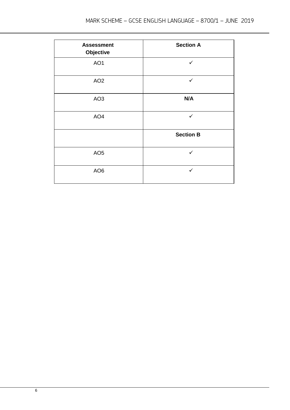| <b>Assessment</b><br>Objective | <b>Section A</b> |
|--------------------------------|------------------|
| AO1                            | $\checkmark$     |
| AO <sub>2</sub>                | $\checkmark$     |
| AO <sub>3</sub>                | N/A              |
| AO <sub>4</sub>                | $\checkmark$     |
|                                | <b>Section B</b> |
| AO <sub>5</sub>                | ✓                |
| AO <sub>6</sub>                | $\checkmark$     |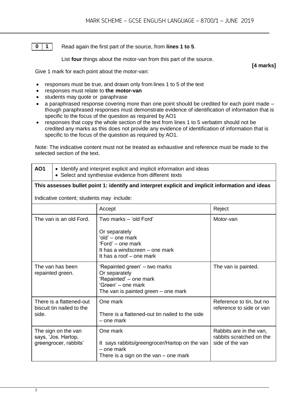**0 1**

Read again the first part of the source, from **lines 1 to 5**.

List **four** things about the motor-van from this part of the source.

Give 1 mark for each point about the motor-van:

- responses must be true, and drawn only from lines 1 to 5 of the text
- responses must relate to **the motor-van**
- students may quote or paraphrase
- a paraphrased response covering more than one point should be credited for each point made though paraphrased responses must demonstrate evidence of identification of information that is specific to the focus of the question as required by AO1
- responses that copy the whole section of the text from lines 1 to 5 verbatim should not be credited any marks as this does not provide any evidence of identification of information that is specific to the focus of the question as required by AO1.

Note: The indicative content must not be treated as exhaustive and reference must be made to the selected section of the text.

- **AO1**  $\bullet$  Identify and interpret explicit and implicit information and ideas
	- Select and synthesise evidence from different texts

#### **This assesses bullet point 1: identify and interpret explicit and implicit information and ideas**

Indicative content; students may include:

|                                                                     | Accept                                                                                                                                         | Reject                                                                 |
|---------------------------------------------------------------------|------------------------------------------------------------------------------------------------------------------------------------------------|------------------------------------------------------------------------|
| The van is an old Ford.                                             | Two marks - 'old Ford'<br>Or separately<br>'old' – one mark<br>'Ford' – one mark<br>It has a windscreen – one mark<br>It has a roof – one mark | Motor-van                                                              |
| The van has been<br>repainted green.                                | 'Repainted green' – two marks<br>Or separately<br>'Repainted' - one mark<br>'Green' - one mark<br>The van is painted green – one mark          | The van is painted.                                                    |
| There is a flattened-out<br>biscuit tin nailed to the<br>side.      | One mark<br>There is a flattened-out tin nailed to the side<br>– one mark                                                                      | Reference to tin, but no<br>reference to side or van                   |
| The sign on the van<br>says, 'Jos. Hartop,<br>greengrocer, rabbits' | One mark<br>It says rabbits/greengrocer/Hartop on the van<br>– one mark<br>There is a sign on the van $-$ one mark                             | Rabbits are in the van,<br>rabbits scratched on the<br>side of the van |

**[4 marks]**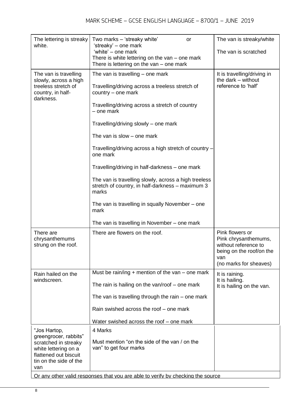| The lettering is streaky<br>white.                                              | Two marks - 'streaky white'<br><b>or</b><br>'streaky' - one mark                                                  | The van is streaky/white                                                                                                     |
|---------------------------------------------------------------------------------|-------------------------------------------------------------------------------------------------------------------|------------------------------------------------------------------------------------------------------------------------------|
|                                                                                 | 'white' – one mark<br>There is white lettering on the van - one mark<br>There is lettering on the van – one mark  | The van is scratched                                                                                                         |
| The van is travelling                                                           | The van is travelling – one mark                                                                                  | It is travelling/driving in                                                                                                  |
| slowly, across a high<br>treeless stretch of<br>country, in half-<br>darkness.  | Travelling/driving across a treeless stretch of<br>country – one mark                                             | the dark - without<br>reference to 'half'                                                                                    |
|                                                                                 | Travelling/driving across a stretch of country<br>- one mark                                                      |                                                                                                                              |
|                                                                                 | Travelling/driving slowly – one mark                                                                              |                                                                                                                              |
|                                                                                 | The van is slow $-$ one mark                                                                                      |                                                                                                                              |
|                                                                                 | Travelling/driving across a high stretch of country -<br>one mark                                                 |                                                                                                                              |
|                                                                                 | Travelling/driving in half-darkness - one mark                                                                    |                                                                                                                              |
|                                                                                 | The van is travelling slowly, across a high treeless<br>stretch of country, in half-darkness – maximum 3<br>marks |                                                                                                                              |
|                                                                                 | The van is travelling in squally November – one<br>mark                                                           |                                                                                                                              |
|                                                                                 | The van is travelling in November – one mark                                                                      |                                                                                                                              |
| There are<br>chrysanthemums<br>strung on the roof.                              | There are flowers on the roof.                                                                                    | Pink flowers or<br>Pink chrysanthemums,<br>without reference to<br>being on the roof/on the<br>van<br>(no marks for sheaves) |
| Rain hailed on the                                                              | Must be rain/ing $+$ mention of the van $-$ one mark                                                              | It is raining.                                                                                                               |
| windscreen.                                                                     | The rain is hailing on the van/roof $-$ one mark                                                                  | It is hailing.<br>It is hailing on the van.                                                                                  |
|                                                                                 | The van is travelling through the rain – one mark                                                                 |                                                                                                                              |
|                                                                                 | Rain swished across the roof – one mark                                                                           |                                                                                                                              |
|                                                                                 | Water swished across the roof – one mark                                                                          |                                                                                                                              |
| "Jos Hartop,<br>greengrocer, rabbits"                                           | 4 Marks                                                                                                           |                                                                                                                              |
| scratched in streaky                                                            | Must mention "on the side of the van / on the<br>van" to get four marks                                           |                                                                                                                              |
| white lettering on a<br>flattened out biscuit                                   |                                                                                                                   |                                                                                                                              |
| tin on the side of the<br>van                                                   |                                                                                                                   |                                                                                                                              |
| Or any other valid responses that you are able to verify by checking the source |                                                                                                                   |                                                                                                                              |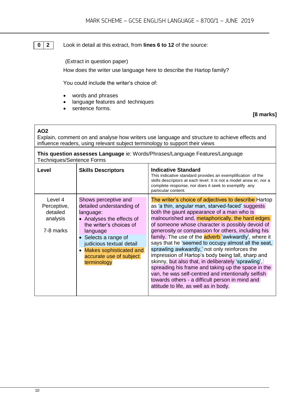#### **0 2** Look in detail at this extract, from **lines 6 to 12** of the source:

(Extract in question paper) How does the writer use language here to describe the Hartop family?

You could include the writer's choice of:

- words and phrases
- language features and techniques
- sentence forms.

#### **[8 marks]**

#### **AO2**

Explain, comment on and analyse how writers use language and structure to achieve effects and influence readers, using relevant subject terminology to support their views

**This question assesses Language** ie: Words/Phrases/Language Features/Language Techniques/Sentence Forms

| Level                                                       | <b>Skills Descriptors</b>                                                                                                                                                                                                                                     | <b>Indicative Standard</b><br>This indicative standard provides an exemplification of the<br>skills descriptors at each level. It is not a model answ er, nor a<br>complete response, nor does it seek to exemplify any<br>particular content.                                                                                                                                                                                                                                                                                                                                                                                                                                                                                                                                                                |
|-------------------------------------------------------------|---------------------------------------------------------------------------------------------------------------------------------------------------------------------------------------------------------------------------------------------------------------|---------------------------------------------------------------------------------------------------------------------------------------------------------------------------------------------------------------------------------------------------------------------------------------------------------------------------------------------------------------------------------------------------------------------------------------------------------------------------------------------------------------------------------------------------------------------------------------------------------------------------------------------------------------------------------------------------------------------------------------------------------------------------------------------------------------|
| Level 4<br>Perceptive,<br>detailed<br>analysis<br>7-8 marks | Shows perceptive and<br>detailed understanding of<br>language:<br>• Analyses the effects of<br>the writer's choices of<br>language<br>• Selects a range of<br>judicious textual detail<br>• Makes sophisticated and<br>accurate use of subject<br>terminology | The writer's choice of adjectives to describe Hartop<br>as 'a thin, angular man, starved-faced' suggests<br>both the gaunt appearance of a man who is<br>malnourished and, metaphorically, the hard edges<br>of someone whose character is possibly devoid of<br>generosity or compassion for others, including his<br>family. The use of the <b>adverb</b> 'awkwardly', where it<br>says that he 'seemed to occupy almost all the seat,<br>sprawling awkwardly,' not only reinforces the<br>impression of Hartop's body being tall, sharp and<br>skinny, but also that, in deliberately 'sprawling',<br>spreading his frame and taking up the space in the<br>van, he was self-centred and intentionally selfish<br>towards others - a difficult person in mind and<br>attitude to life, as well as in body. |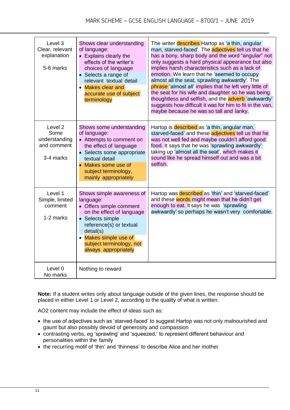| Level 3<br>Clear, relevant<br>explanation<br>5-6 marks       | Shows clear understanding<br>of language:<br>• Explains clearly the<br>effects of the writer's<br>choices of language<br>• Selects a range of<br>relevant textual detail<br>• Makes clear and<br>accurate use of subject<br>terminology | The writer describes Hartop as 'a thin, angular<br>man, starved-faced'. The adjectives tell us that he<br>has a bony, sharp body and the word "angular" not<br>only suggests a hard physical appearance but also<br>implies harsh characteristics such as a lack of<br>emotion. We learn that he 'seemed to occupy<br>almost all the seat, sprawling awkwardly'. The<br>phrase 'almost all' implies that he left very little of<br>the seat for his wife and daughter so he was being<br>thoughtless and selfish, and the adverb 'awkwardly'<br>suggests how difficult it was for him to fit in the van,<br>maybe because he was so tall and lanky. |
|--------------------------------------------------------------|-----------------------------------------------------------------------------------------------------------------------------------------------------------------------------------------------------------------------------------------|-----------------------------------------------------------------------------------------------------------------------------------------------------------------------------------------------------------------------------------------------------------------------------------------------------------------------------------------------------------------------------------------------------------------------------------------------------------------------------------------------------------------------------------------------------------------------------------------------------------------------------------------------------|
| Level 2<br>Some<br>understanding<br>and comment<br>3-4 marks | Shows some understanding<br>of language:<br>• Attempts to comment on<br>the effect of language<br>• Selects some appropriate<br>textual detail<br>• Makes some use of<br>subject terminology,<br>mainly appropriately                   | Hartop is described as 'a thin, angular man,<br>starved-faced' and these adjectives tell us that he<br>was not well fed and maybe couldn't afford good<br>food. It says that he was 'sprawling awkwardly'<br>taking up 'almost all the seat', which makes it<br>sound like he spread himself out and was a bit<br>selfish.                                                                                                                                                                                                                                                                                                                          |
| Level 1<br>Simple, limited<br>comment<br>1-2 marks           | Shows simple awareness of<br>language:<br>• Offers simple comment<br>on the effect of language<br>• Selects simple<br>reference(s) or textual<br>detail(s)<br>• Makes simple use of<br>subject terminology, not<br>always appropriately | Hartop was described as 'thin' and 'starved-faced'<br>and these words might mean that he didn't get<br>enough to eat. It says he was 'sprawling<br>awkwardly' so perhaps he wasn't very comfortable.                                                                                                                                                                                                                                                                                                                                                                                                                                                |
| Level 0<br>No marks                                          | Nothing to reward                                                                                                                                                                                                                       |                                                                                                                                                                                                                                                                                                                                                                                                                                                                                                                                                                                                                                                     |

**Note:** If a student writes only about language outside of the given lines, the response should be placed in either Level 1 or Level 2, according to the quality of what is written.

AO2 content may include the effect of ideas such as:

- the use of adjectives such as 'starved-faced' to suggest Hartop was not only malnourished and gaunt but also possibly devoid of generosity and compassion
- contrasting verbs, eg 'sprawling' and 'squeezed,' to represent different behaviour and personalities within the family
- the recurring motif of 'thin' and 'thinness' to describe Alice and her mother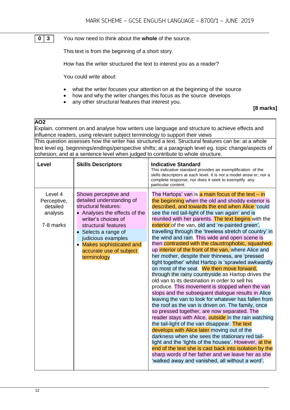#### You now need to think about the **whole** of the source. **0 3**

This text is from the beginning of a short story.

How has the writer structured the text to interest you as a reader?

You could write about:

- what the writer focuses your attention on at the beginning of the source
- how and why the writer changes this focus as the source develops
- any other structural features that interest you.

#### **[8 marks]**

#### **AO2**

Explain, comment on and analyse how writers use language and structure to achieve effects and influence readers, using relevant subject terminology to support their views

This question assesses how the writer has structured a text. Structural features can be: at a whole text level eg. beginnings/endings/perspective shifts; at a paragraph level eg. topic change/aspects of cohesion; and at a sentence level when judged to contribute to whole structure.

| Level                                                       | <b>Skills Descriptors</b>                                                                                                                                                                                                                                                                | <b>Indicative Standard</b><br>This indicative standard provides an exemplification of the<br>skills descriptors at each level. It is not a model answ er, nor a<br>complete response, nor does it seek to exemplify any<br>particular content.                                                                                                                                                                                                                                                                                                                                                                                                                                                                                                                                                                                                                                                                                                                                                                                                                                                                                                                                                                                                                                                                                                                                                                                                                                                                                            |
|-------------------------------------------------------------|------------------------------------------------------------------------------------------------------------------------------------------------------------------------------------------------------------------------------------------------------------------------------------------|-------------------------------------------------------------------------------------------------------------------------------------------------------------------------------------------------------------------------------------------------------------------------------------------------------------------------------------------------------------------------------------------------------------------------------------------------------------------------------------------------------------------------------------------------------------------------------------------------------------------------------------------------------------------------------------------------------------------------------------------------------------------------------------------------------------------------------------------------------------------------------------------------------------------------------------------------------------------------------------------------------------------------------------------------------------------------------------------------------------------------------------------------------------------------------------------------------------------------------------------------------------------------------------------------------------------------------------------------------------------------------------------------------------------------------------------------------------------------------------------------------------------------------------------|
| Level 4<br>Perceptive,<br>detailed<br>analysis<br>7-8 marks | Shows perceptive and<br>detailed understanding of<br>structural features:<br>• Analyses the effects of the<br>writer's choices of<br>structural features<br>Selects a range of<br>$\bullet$<br>judicious examples<br>• Makes sophisticated and<br>accurate use of subject<br>terminology | The Hartops' van is a main focus of the text – in<br>the beginning when the old and shoddy exterior is<br>described, and towards the end when Alice 'could<br>see the red tail-light of the van again' and is<br>reunited with her parents. The text begins with the<br>exterior of the van, old and 're-painted green',<br>travelling through the 'treeless stretch of country' in<br>the wind and rain. This wide and open scene is<br>then contrasted with the claustrophobic, squashed-<br>up interior of the front of the van, where Alice and<br>her mother, despite their thinness, are 'pressed<br>tight together' whilst Hartop is 'sprawled awkwardly<br>on most of the seat. We then move forward,<br>through the rainy countryside as Hartop drives the<br>old van to its destination in order to sell his<br>produce. This movement is stopped when the van<br>stops and the subsequent dialogue results in Alice<br>leaving the van to look for whatever has fallen from<br>the roof as the van is driven on. The family, once<br>so pressed together, are now separated. The<br>reader stays with Alice, <b>outside</b> in the rain watching<br>the tail-light of the van disappear. The text<br>develops with Alice later moving out of the<br>darkness when she sees the stationary red tail-<br>light and the 'lights of the houses'. However, at the<br>end of the text she is cast back into isolation by the<br>sharp words of her father and we leave her as she<br>'walked away and vanished, all without a word'. |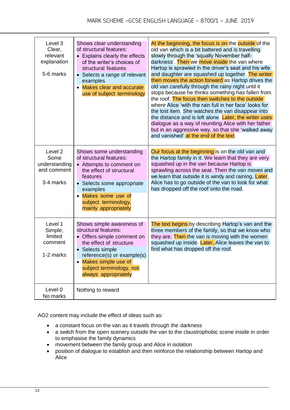| Level 3<br>Clear,<br>relevant<br>explanation<br>5-6 marks               | Shows clear understanding<br>of structural features:<br>• Explains clearly the effects<br>of the writer's choices of<br>structural features<br>Selects a range of relevant<br>examples<br>• Makes clear and accurate<br>use of subject terminology | At the beginning, the focus is on the outside of the<br>old van which is a bit battered and is travelling<br>slowly through the 'squally November half-<br>darkness'. Then we move inside the van where<br>Hartop is sprawled in the driver's seat and his wife<br>and daughter are squashed up together. The writer<br>then moves the action forward as Hartop drives the<br>old van carefully through the rainy night until it<br>stops because he thinks something has fallen from<br>the roof. The focus then switches to the outside<br>where Alice 'with the rain full in her face' looks for<br>the lost item. She watches the van disappear into<br>the distance and is left alone. Later, the writer uses<br>dialogue as a way of reuniting Alice with her father<br>but in an aggressive way, so that she 'walked away<br>and vanished' at the end of the text. |
|-------------------------------------------------------------------------|----------------------------------------------------------------------------------------------------------------------------------------------------------------------------------------------------------------------------------------------------|---------------------------------------------------------------------------------------------------------------------------------------------------------------------------------------------------------------------------------------------------------------------------------------------------------------------------------------------------------------------------------------------------------------------------------------------------------------------------------------------------------------------------------------------------------------------------------------------------------------------------------------------------------------------------------------------------------------------------------------------------------------------------------------------------------------------------------------------------------------------------|
| Level <sub>2</sub><br>Some<br>understanding<br>and comment<br>3-4 marks | Shows some understanding<br>of structural features:<br>• Attempts to comment on<br>the effect of structural<br>features<br>• Selects some appropriate<br>examples<br>• Makes some use of<br>subject terminology,<br>mainly appropriately           | Our focus at the beginning is on the old van and<br>the Hartop family in it. We learn that they are very<br>squashed up in the van because Hartop is<br>sprawling across the seat. Then the van moves and<br>we learn that outside it is windy and raining. Later,<br>Alice has to go outside of the van to look for what<br>has dropped off the roof onto the road.                                                                                                                                                                                                                                                                                                                                                                                                                                                                                                      |
| Level 1<br>Simple,<br>limited<br>comment<br>1-2 marks                   | Shows simple awareness of<br>structural features:<br>• Offers simple comment on<br>the effect of structure<br>Selects simple<br>reference(s) or example(s)<br>Makes simple use of<br>subject terminology, not<br>always appropriately              | The text begins by describing Hartop's van and the<br>three members of the family, so that we know who<br>they are. Then the van is moving with the women<br>squashed up inside. Later, Alice leaves the van to<br>find what has dropped off the roof.                                                                                                                                                                                                                                                                                                                                                                                                                                                                                                                                                                                                                    |
| Level 0<br>No marks                                                     | Nothing to reward                                                                                                                                                                                                                                  |                                                                                                                                                                                                                                                                                                                                                                                                                                                                                                                                                                                                                                                                                                                                                                                                                                                                           |

AO2 content may include the effect of ideas such as:

- a constant focus on the van as it travels through the darkness
- a switch from the open scenery outside the van to the claustrophobic scene inside in order to emphasise the family dynamics
- movement between the family group and Alice in isolation
- position of dialogue to establish and then reinforce the relationship between Hartop and Alice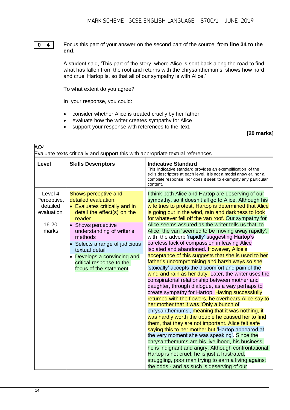$\mathbf{0}$ 

Focus this part of your answer on the second part of the source, from **line 34 to the end**.

A student said, 'This part of the story, where Alice is sent back along the road to find what has fallen from the roof and returns with the chrysanthemums, shows how hard and cruel Hartop is, so that all of our sympathy is with Alice.'

To what extent do you agree?

In your response, you could:

- consider whether Alice is treated cruelly by her father
- evaluate how the writer creates sympathy for Alice
- support your response with references to the text.

**[20 marks]**

| AO <sub>4</sub><br>Evaluate texts critically and support this with appropriate textual references |                                                                                                                                                                                                                                                                                                                           |                                                                                                                                                                                                                                                                                                                                                                                                                                                                                                                                                                                                                                                                                                                                                                                                                                                                                                                                                                                                                                                                                                                                                                                                                                                                                                                                                                                                                                                                                                                                                                          |
|---------------------------------------------------------------------------------------------------|---------------------------------------------------------------------------------------------------------------------------------------------------------------------------------------------------------------------------------------------------------------------------------------------------------------------------|--------------------------------------------------------------------------------------------------------------------------------------------------------------------------------------------------------------------------------------------------------------------------------------------------------------------------------------------------------------------------------------------------------------------------------------------------------------------------------------------------------------------------------------------------------------------------------------------------------------------------------------------------------------------------------------------------------------------------------------------------------------------------------------------------------------------------------------------------------------------------------------------------------------------------------------------------------------------------------------------------------------------------------------------------------------------------------------------------------------------------------------------------------------------------------------------------------------------------------------------------------------------------------------------------------------------------------------------------------------------------------------------------------------------------------------------------------------------------------------------------------------------------------------------------------------------------|
| <b>Level</b>                                                                                      | <b>Skills Descriptors</b>                                                                                                                                                                                                                                                                                                 | <b>Indicative Standard</b><br>This indicative standard provides an exemplification of the<br>skills descriptors at each level. It is not a model answ er, nor a<br>complete response, nor does it seek to exemplify any particular<br>content.                                                                                                                                                                                                                                                                                                                                                                                                                                                                                                                                                                                                                                                                                                                                                                                                                                                                                                                                                                                                                                                                                                                                                                                                                                                                                                                           |
| Level 4<br>Perceptive,<br>detailed<br>evaluation<br>16-20<br>marks                                | Shows perceptive and<br>detailed evaluation:<br>• Evaluates critically and in<br>detail the effect(s) on the<br>reader<br>• Shows perceptive<br>understanding of writer's<br>methods<br>Selects a range of judicious<br>textual detail<br>Develops a convincing and<br>critical response to the<br>focus of the statement | I think both Alice and Hartop are deserving of our<br>sympathy, so it doesn't all go to Alice. Although his<br>wife tries to protest, Hartop is determined that Alice<br>is going out in the wind, rain and darkness to look<br>for whatever fell off the van roof. Our sympathy for<br>Alice seems assured as the writer tells us that, to<br>Alice, the van 'seemed to be moving away rapidly',<br>with the adverb 'rapidly' suggesting Hartop's<br>careless lack of compassion in leaving Alice<br>isolated and abandoned. However, Alice's<br>acceptance of this suggests that she is used to her<br>father's uncompromising and harsh ways so she<br>'stoically' accepts the discomfort and pain of the<br>wind and rain as her duty. Later, the writer uses the<br>conspiratorial relationship between mother and<br>daughter, through dialogue, as a way perhaps to<br>create sympathy for Hartop. Having successfully<br>returned with the flowers, he overhears Alice say to<br>her mother that it was 'Only a bunch of<br>chrysanthemums', meaning that it was nothing, it<br>was hardly worth the trouble he caused her to find<br>them, that they are not important. Alice felt safe<br>saying this to her mother but 'Hartop appeared at<br>the very moment she was speaking'. Since the<br>chrysanthemums are his livelihood, his business,<br>he is indignant and angry. Although confrontational,<br>Hartop is not cruel; he is just a frustrated,<br>struggling, poor man trying to earn a living against<br>the odds - and as such is deserving of our |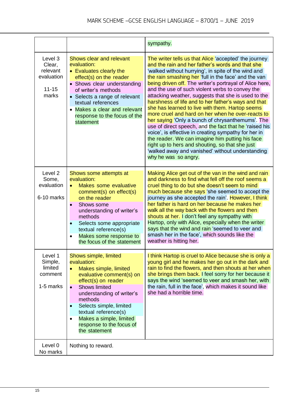|                                                                   |                                                                                                                                                                                                                                                                                                                                       | sympathy.                                                                                                                                                                                                                                                                                                                                                                                                                                                                                                                                                                                                                                                                                                                                                                                                                                                                                                            |
|-------------------------------------------------------------------|---------------------------------------------------------------------------------------------------------------------------------------------------------------------------------------------------------------------------------------------------------------------------------------------------------------------------------------|----------------------------------------------------------------------------------------------------------------------------------------------------------------------------------------------------------------------------------------------------------------------------------------------------------------------------------------------------------------------------------------------------------------------------------------------------------------------------------------------------------------------------------------------------------------------------------------------------------------------------------------------------------------------------------------------------------------------------------------------------------------------------------------------------------------------------------------------------------------------------------------------------------------------|
| Level 3<br>Clear,<br>relevant<br>evaluation<br>$11 - 15$<br>marks | Shows clear and relevant<br>evaluation:<br>• Evaluates clearly the<br>effect(s) on the reader<br>• Shows clear understanding<br>of writer's methods<br>• Selects a range of relevant<br>textual references<br>Makes a clear and relevant<br>response to the focus of the<br>statement                                                 | The writer tells us that Alice 'accepted' the journey<br>and the rain and her father's words and that she<br>'walked without hurrying', in spite of the wind and<br>the rain smashing her 'full in the face' and the van<br>being driven off. The writer's portrayal of Alice here,<br>and the use of such violent verbs to convey the<br>attacking weather, suggests that she is used to the<br>harshness of life and to her father's ways and that<br>she has learned to live with them. Hartop seems<br>more cruel and hard on her when he over-reacts to<br>her saying 'Only a bunch of chrysanthemums'. The<br>use of direct speech, and the fact that he 'raised his<br>voice', is effective in creating sympathy for her in<br>the reader. We can imagine him putting his face<br>right up to hers and shouting, so that she just<br>'walked away and vanished' without understanding<br>why he was so angry. |
| Level 2<br>Some,<br>evaluation<br>6-10 marks                      | Shows some attempts at<br>evaluation:<br>Makes some evaluative<br>comment(s) on effect(s)<br>on the reader<br>Shows some<br>understanding of writer's<br>methods<br>Selects some appropriate<br>textual reference(s)<br>Makes some response to<br>the focus of the statement                                                          | Making Alice get out of the van in the wind and rain<br>and darkness to find what fell off the roof seems a<br>cruel thing to do but she doesn't seem to mind<br>much because she says 'she seemed to accept the<br>journey as she accepted the rain'. However, I think<br>her father is hard on her because he makes her<br>walk all the way back with the flowers and then<br>shouts at her. I don't feel any sympathy with<br>Hartop, only with Alice, especially when the writer<br>says that the wind and rain 'seemed to veer and<br>smash her in the face', which sounds like the<br>weather is hitting her.                                                                                                                                                                                                                                                                                                  |
| Level 1<br>Simple,<br>limited<br>comment<br>1-5 marks             | Shows simple, limited<br>evaluation:<br>Makes simple, limited<br>$\bullet$<br>evaluative comment(s) on<br>effect(s) on reader<br><b>Shows limited</b><br>understanding of writer's<br>methods<br>Selects simple, limited<br>textual reference(s)<br>Makes a simple, limited<br>$\bullet$<br>response to the focus of<br>the statement | I think Hartop is cruel to Alice because she is only a<br>young girl and he makes her go out in the dark and<br>rain to find the flowers, and then shouts at her when<br>she brings them back. I feel sorry for her because it<br>says the wind 'seemed to veer and smash her, with<br>the rain, full in the face', which makes it sound like<br>she had a horrible time.                                                                                                                                                                                                                                                                                                                                                                                                                                                                                                                                            |
| Level 0<br>No marks                                               | Nothing to reward.                                                                                                                                                                                                                                                                                                                    |                                                                                                                                                                                                                                                                                                                                                                                                                                                                                                                                                                                                                                                                                                                                                                                                                                                                                                                      |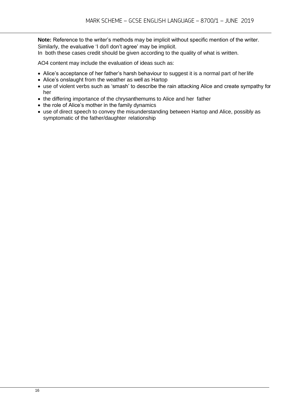**Note:** Reference to the writer's methods may be implicit without specific mention of the writer. Similarly, the evaluative 'I do/I don't agree' may be implicit.

In both these cases credit should be given according to the quality of what is written.

AO4 content may include the evaluation of ideas such as:

- Alice's acceptance of her father's harsh behaviour to suggest it is a normal part of her life
- Alice's onslaught from the weather as well as Hartop
- use of violent verbs such as 'smash' to describe the rain attacking Alice and create sympathy for her
- the differing importance of the chrysanthemums to Alice and her father
- the role of Alice's mother in the family dynamics
- use of direct speech to convey the misunderstanding between Hartop and Alice, possibly as symptomatic of the father/daughter relationship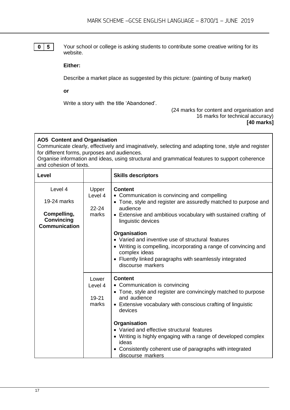### $0 \mid 5 \mid$

Your school or college is asking students to contribute some creative writing for its website.

#### **Either:**

Describe a market place as suggested by this picture: (painting of busy market)

**or**

Write a story with the title 'Abandoned'.

#### (24 marks for content and organisation and 16 marks for technical accuracy) **[40 marks]**

| <b>AO5</b> Content and Organisation<br>Communicate clearly, effectively and imaginatively, selecting and adapting tone, style and register<br>for different forms, purposes and audiences.<br>Organise information and ideas, using structural and grammatical features to support coherence<br>and cohesion of texts. |                                        |                                                                                                                                                                                                                                                                                                                                                                                                                                                                                  |  |  |  |
|------------------------------------------------------------------------------------------------------------------------------------------------------------------------------------------------------------------------------------------------------------------------------------------------------------------------|----------------------------------------|----------------------------------------------------------------------------------------------------------------------------------------------------------------------------------------------------------------------------------------------------------------------------------------------------------------------------------------------------------------------------------------------------------------------------------------------------------------------------------|--|--|--|
| Level                                                                                                                                                                                                                                                                                                                  |                                        | <b>Skills descriptors</b>                                                                                                                                                                                                                                                                                                                                                                                                                                                        |  |  |  |
| Level 4<br>19-24 marks<br>Compelling,<br>Convincing<br><b>Communication</b>                                                                                                                                                                                                                                            | Upper<br>Level 4<br>$22 - 24$<br>marks | <b>Content</b><br>• Communication is convincing and compelling<br>• Tone, style and register are assuredly matched to purpose and<br>audience<br>• Extensive and ambitious vocabulary with sustained crafting of<br>linguistic devices<br>Organisation<br>• Varied and inventive use of structural features<br>• Writing is compelling, incorporating a range of convincing and<br>complex ideas<br>• Fluently linked paragraphs with seamlessly integrated<br>discourse markers |  |  |  |
|                                                                                                                                                                                                                                                                                                                        | Lower<br>Level 4<br>19-21<br>marks     | <b>Content</b><br>• Communication is convincing<br>• Tone, style and register are convincingly matched to purpose<br>and audience<br>• Extensive vocabulary with conscious crafting of linguistic<br>devices<br>Organisation<br>• Varied and effective structural features<br>• Writing is highly engaging with a range of developed complex<br>ideas<br>• Consistently coherent use of paragraphs with integrated<br>discourse markers                                          |  |  |  |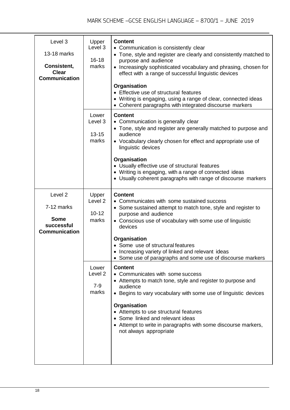| Level 3<br>13-18 marks<br>Consistent,<br><b>Clear</b><br><b>Communication</b>         | Upper<br>Level 3<br>$16 - 18$<br>marks            | <b>Content</b><br>• Communication is consistently clear<br>• Tone, style and register are clearly and consistently matched to<br>purpose and audience<br>• Increasingly sophisticated vocabulary and phrasing, chosen for<br>effect with a range of successful linguistic devices<br>Organisation<br>• Effective use of structural features<br>• Writing is engaging, using a range of clear, connected ideas<br>• Coherent paragraphs with integrated discourse markers |
|---------------------------------------------------------------------------------------|---------------------------------------------------|--------------------------------------------------------------------------------------------------------------------------------------------------------------------------------------------------------------------------------------------------------------------------------------------------------------------------------------------------------------------------------------------------------------------------------------------------------------------------|
|                                                                                       | Lower<br>Level 3<br>$13 - 15$<br>marks            | <b>Content</b><br>• Communication is generally clear<br>• Tone, style and register are generally matched to purpose and<br>audience<br>• Vocabulary clearly chosen for effect and appropriate use of<br>linguistic devices<br>Organisation<br>• Usually effective use of structural features<br>• Writing is engaging, with a range of connected ideas<br>• Usually coherent paragraphs with range of discourse markers                                                  |
| Level <sub>2</sub><br>7-12 marks<br><b>Some</b><br>successful<br><b>Communication</b> | Upper<br>Level <sub>2</sub><br>$10 - 12$<br>marks | <b>Content</b><br>• Communicates with some sustained success<br>• Some sustained attempt to match tone, style and register to<br>purpose and audience<br>• Conscious use of vocabulary with some use of linguistic<br>devices<br>Organisation<br>• Some use of structural features<br>• Increasing variety of linked and relevant ideas                                                                                                                                  |
|                                                                                       | Lower<br>Level <sub>2</sub><br>7-9<br>marks       | • Some use of paragraphs and some use of discourse markers<br><b>Content</b><br>• Communicates with some success<br>• Attempts to match tone, style and register to purpose and<br>audience<br>• Begins to vary vocabulary with some use of linguistic devices<br>Organisation<br>• Attempts to use structural features<br>• Some linked and relevant ideas<br>• Attempt to write in paragraphs with some discourse markers,<br>not always appropriate                   |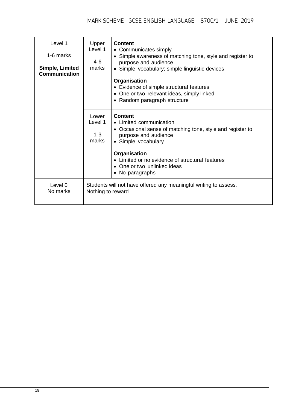| Level 1<br>1-6 marks<br>Simple, Limited<br><b>Communication</b> | Upper<br>Level 1<br>4-6<br>marks                                                      | <b>Content</b><br>• Communicates simply<br>• Simple awareness of matching tone, style and register to<br>purpose and audience<br>• Simple vocabulary; simple linguistic devices<br>Organisation<br>• Evidence of simple structural features<br>• One or two relevant ideas, simply linked<br>• Random paragraph structure |
|-----------------------------------------------------------------|---------------------------------------------------------------------------------------|---------------------------------------------------------------------------------------------------------------------------------------------------------------------------------------------------------------------------------------------------------------------------------------------------------------------------|
|                                                                 | Lower<br>Level 1<br>$1-3$<br>marks                                                    | <b>Content</b><br>• Limited communication<br>• Occasional sense of matching tone, style and register to<br>purpose and audience<br>• Simple vocabulary                                                                                                                                                                    |
|                                                                 |                                                                                       | Organisation<br>• Limited or no evidence of structural features<br>• One or two unlinked ideas<br>• No paragraphs                                                                                                                                                                                                         |
| Level 0<br>No marks                                             | Students will not have offered any meaningful writing to assess.<br>Nothing to reward |                                                                                                                                                                                                                                                                                                                           |